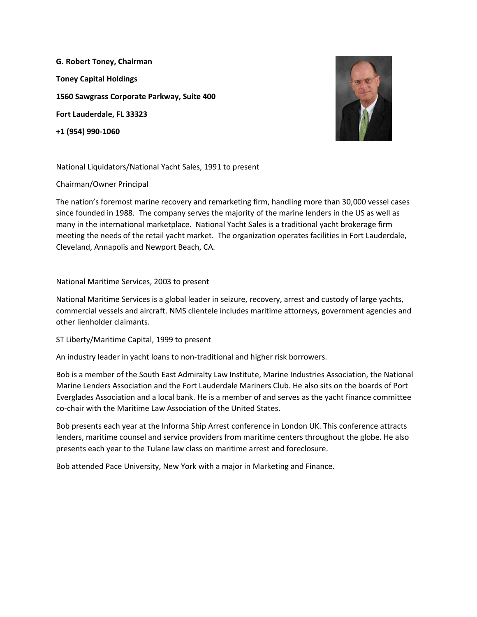**G. Robert Toney, Chairman Toney Capital Holdings 1560 Sawgrass Corporate Parkway, Suite 400 Fort Lauderdale, FL 33323 +1 (954) 990-1060**



National Liquidators/National Yacht Sales, 1991 to present

Chairman/Owner Principal

The nation's foremost marine recovery and remarketing firm, handling more than 30,000 vessel cases since founded in 1988. The company serves the majority of the marine lenders in the US as well as many in the international marketplace. National Yacht Sales is a traditional yacht brokerage firm meeting the needs of the retail yacht market. The organization operates facilities in Fort Lauderdale, Cleveland, Annapolis and Newport Beach, CA.

National Maritime Services, 2003 to present

National Maritime Services is a global leader in seizure, recovery, arrest and custody of large yachts, commercial vessels and aircraft. NMS clientele includes maritime attorneys, government agencies and other lienholder claimants.

ST Liberty/Maritime Capital, 1999 to present

An industry leader in yacht loans to non-traditional and higher risk borrowers.

Bob is a member of the South East Admiralty Law Institute, Marine Industries Association, the National Marine Lenders Association and the Fort Lauderdale Mariners Club. He also sits on the boards of Port Everglades Association and a local bank. He is a member of and serves as the yacht finance committee co-chair with the Maritime Law Association of the United States.

Bob presents each year at the Informa Ship Arrest conference in London UK. This conference attracts lenders, maritime counsel and service providers from maritime centers throughout the globe. He also presents each year to the Tulane law class on maritime arrest and foreclosure.

Bob attended Pace University, New York with a major in Marketing and Finance.